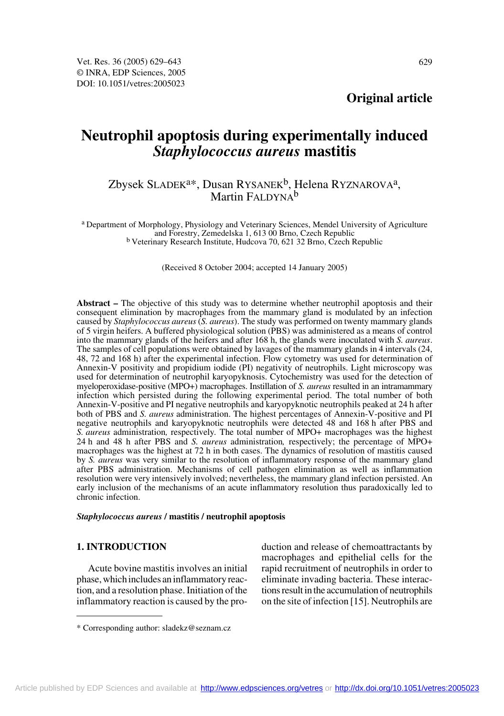**Original article**

# **Neutrophil apoptosis during experimentally induced**  *Staphylococcus aureus* **mastitis**

## Zbysek SLADEK<sup>a\*</sup>, Dusan RYSANEK<sup>b</sup>, Helena RYZNAROVA<sup>a</sup>, Martin FALDYNA<sup>b</sup>

a Department of Morphology, Physiology and Veterinary Sciences, Mendel University of Agriculture <sup>b</sup> Veterinary Research Institute, Hudcova 70, 621 32 Brno, Czech Republic

(Received 8 October 2004; accepted 14 January 2005)

**Abstract –** The objective of this study was to determine whether neutrophil apoptosis and their consequent elimination by macrophages from the mammary gland is modulated by an infection caused by *Staphylococcus aureus* (*S. aureus*). The study was performed on twenty mammary glands of 5 virgin heifers. A buffered physiological solution (PBS) was administered as a means of control into the mammary glands of the heifers and after 168 h, the glands were inoculated with *S. aureus*. The samples of cell populations were obtained by lavages of the mammary glands in 4 intervals (24, 48, 72 and 168 h) after the experimental infection. Flow cytometry was used for determination of Annexin-V positivity and propidium iodide (PI) negativity of neutrophils. Light microscopy was used for determination of neutrophil karyopyknosis. Cytochemistry was used for the detection of myeloperoxidase-positive (MPO+) macrophages. Instillation of *S. aureus* resulted in an intramammary infection which persisted during the following experimental period. The total number of both Annexin-V-positive and PI negative neutrophils and karyopyknotic neutrophils peaked at 24 h after both of PBS and *S. aureus* administration. The highest percentages of Annexin-V-positive and PI negative neutrophils and karyopyknotic neutrophils were detected 48 and 168 h after PBS and *S. aureus* administration*,* respectively*.* The total number of MPO+ macrophages was the highest 24 h and 48 h after PBS and *S. aureus* administration*,* respectively; the percentage of MPO+ macrophages was the highest at 72 h in both cases. The dynamics of resolution of mastitis caused by *S. aureus* was very similar to the resolution of inflammatory response of the mammary gland after PBS administration. Mechanisms of cell pathogen elimination as well as inflammation resolution were very intensively involved; nevertheless, the mammary gland infection persisted. An early inclusion of the mechanisms of an acute inflammatory resolution thus paradoxically led to chronic infection.

#### *Staphylococcus aureus* **/ mastitis / neutrophil apoptosis**

## **1. INTRODUCTION**

Acute bovine mastitis involves an initial phase, which includes an inflammatory reaction, and a resolution phase. Initiation of the inflammatory reaction is caused by the production and release of chemoattractants by macrophages and epithelial cells for the rapid recruitment of neutrophils in order to eliminate invading bacteria. These interactions result in the accumulation of neutrophils on the site of infection [15]. Neutrophils are

<sup>\*</sup> Corresponding author: sladekz@seznam.cz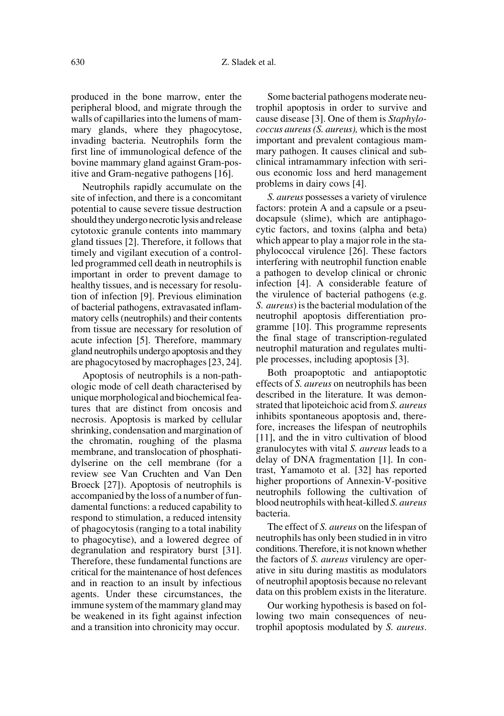produced in the bone marrow, enter the peripheral blood, and migrate through the walls of capillaries into the lumens of mammary glands, where they phagocytose, invading bacteria. Neutrophils form the first line of immunological defence of the bovine mammary gland against Gram-positive and Gram-negative pathogens [16].

Neutrophils rapidly accumulate on the site of infection, and there is a concomitant potential to cause severe tissue destruction should they undergo necrotic lysis and release cytotoxic granule contents into mammary gland tissues [2]. Therefore, it follows that timely and vigilant execution of a controlled programmed cell death in neutrophils is important in order to prevent damage to healthy tissues, and is necessary for resolution of infection [9]. Previous elimination of bacterial pathogens, extravasated inflammatory cells (neutrophils) and their contents from tissue are necessary for resolution of acute infection [5]. Therefore, mammary gland neutrophils undergo apoptosis and they are phagocytosed by macrophages [23, 24].

Apoptosis of neutrophils is a non-pathologic mode of cell death characterised by unique morphological and biochemical features that are distinct from oncosis and necrosis. Apoptosis is marked by cellular shrinking, condensation and margination of the chromatin, roughing of the plasma membrane, and translocation of phosphatidylserine on the cell membrane (for a review see Van Cruchten and Van Den Broeck [27]). Apoptosis of neutrophils is accompanied by the loss of a number of fundamental functions: a reduced capability to respond to stimulation, a reduced intensity of phagocytosis (ranging to a total inability to phagocytise), and a lowered degree of degranulation and respiratory burst [31]. Therefore, these fundamental functions are critical for the maintenance of host defences and in reaction to an insult by infectious agents. Under these circumstances, the immune system of the mammary gland may be weakened in its fight against infection and a transition into chronicity may occur.

Some bacterial pathogens moderate neutrophil apoptosis in order to survive and cause disease [3]. One of them is *Staphylococcus aureus (S. aureus),* which is the most important and prevalent contagious mammary pathogen. It causes clinical and subclinical intramammary infection with serious economic loss and herd management problems in dairy cows [4].

*S. aureus* possesses a variety of virulence factors: protein A and a capsule or a pseudocapsule (slime), which are antiphagocytic factors, and toxins (alpha and beta) which appear to play a major role in the staphylococcal virulence [26]. These factors interfering with neutrophil function enable a pathogen to develop clinical or chronic infection [4]. A considerable feature of the virulence of bacterial pathogens (e.g. *S. aureus*) is the bacterial modulation of the neutrophil apoptosis differentiation programme [10]. This programme represents the final stage of transcription-regulated neutrophil maturation and regulates multiple processes, including apoptosis [3].

Both proapoptotic and antiapoptotic effects of *S. aureus* on neutrophils has been described in the literature*.* It was demonstrated that lipoteichoic acid from *S. aureus* inhibits spontaneous apoptosis and, therefore, increases the lifespan of neutrophils [11], and the in vitro cultivation of blood granulocytes with vital *S. aureus* leads to a delay of DNA fragmentation [1]. In contrast, Yamamoto et al. [32] has reported higher proportions of Annexin-V-positive neutrophils following the cultivation of blood neutrophils with heat-killed *S. aureus* bacteria.

The effect of *S. aureus* on the lifespan of neutrophils has only been studied in in vitro conditions. Therefore, it is not known whether the factors of *S. aureus* virulency are operative in situ during mastitis as modulators of neutrophil apoptosis because no relevant data on this problem exists in the literature.

Our working hypothesis is based on following two main consequences of neutrophil apoptosis modulated by *S. aureus*.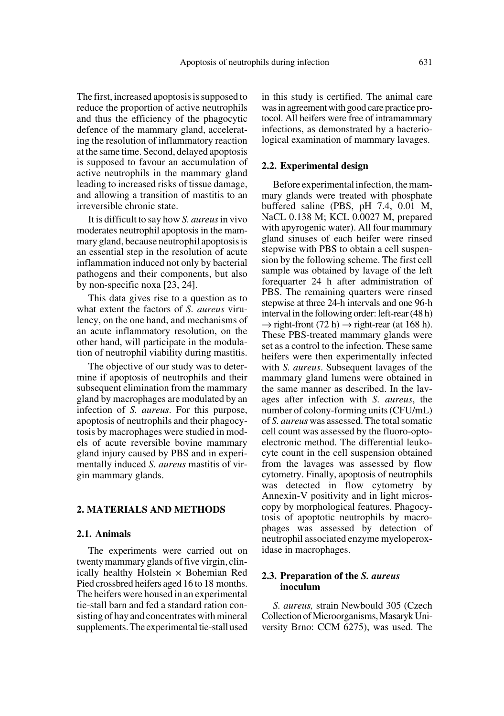The first, increased apoptosis is supposed to reduce the proportion of active neutrophils and thus the efficiency of the phagocytic defence of the mammary gland, accelerating the resolution of inflammatory reaction at the same time. Second, delayed apoptosis is supposed to favour an accumulation of active neutrophils in the mammary gland leading to increased risks of tissue damage, and allowing a transition of mastitis to an irreversible chronic state.

It is difficult to say how *S. aureus* in vivo moderates neutrophil apoptosis in the mammary gland, because neutrophil apoptosis is an essential step in the resolution of acute inflammation induced not only by bacterial pathogens and their components, but also by non-specific noxa [23, 24].

This data gives rise to a question as to what extent the factors of *S. aureus* virulency, on the one hand, and mechanisms of an acute inflammatory resolution, on the other hand, will participate in the modulation of neutrophil viability during mastitis.

The objective of our study was to determine if apoptosis of neutrophils and their subsequent elimination from the mammary gland by macrophages are modulated by an infection of *S. aureus*. For this purpose, apoptosis of neutrophils and their phagocytosis by macrophages were studied in models of acute reversible bovine mammary gland injury caused by PBS and in experimentally induced *S. aureus* mastitis of virgin mammary glands.

## **2. MATERIALS AND METHODS**

#### **2.1. Animals**

The experiments were carried out on twenty mammary glands of five virgin, clinically healthy Holstein × Bohemian Red Pied crossbred heifers aged 16 to 18 months. The heifers were housed in an experimental tie-stall barn and fed a standard ration consisting of hay and concentrates with mineral supplements. The experimental tie-stall used in this study is certified. The animal care was in agreement with good care practice protocol. All heifers were free of intramammary infections, as demonstrated by a bacteriological examination of mammary lavages.

#### **2.2. Experimental design**

Before experimental infection, the mammary glands were treated with phosphate buffered saline (PBS, pH 7.4, 0.01 M, NaCL 0.138 M; KCL 0.0027 M, prepared with apyrogenic water). All four mammary gland sinuses of each heifer were rinsed stepwise with PBS to obtain a cell suspension by the following scheme. The first cell sample was obtained by lavage of the left forequarter 24 h after administration of PBS. The remaining quarters were rinsed stepwise at three 24-h intervals and one 96-h interval in the following order: left-rear (48 h)  $\rightarrow$  right-front (72 h)  $\rightarrow$  right-rear (at 168 h). These PBS-treated mammary glands were set as a control to the infection. These same heifers were then experimentally infected with *S. aureus*. Subsequent lavages of the mammary gland lumens were obtained in the same manner as described. In the lavages after infection with *S. aureus*, the number of colony-forming units (CFU/mL) of *S. aureus* was assessed. The total somatic cell count was assessed by the fluoro-optoelectronic method. The differential leukocyte count in the cell suspension obtained from the lavages was assessed by flow cytometry. Finally, apoptosis of neutrophils was detected in flow cytometry by Annexin-V positivity and in light microscopy by morphological features. Phagocytosis of apoptotic neutrophils by macrophages was assessed by detection of neutrophil associated enzyme myeloperoxidase in macrophages.

## **2.3. Preparation of the** *S. aureus* **inoculum**

*S. aureus,* strain Newbould 305 (Czech Collection of Microorganisms, Masaryk University Brno: CCM 6275), was used. The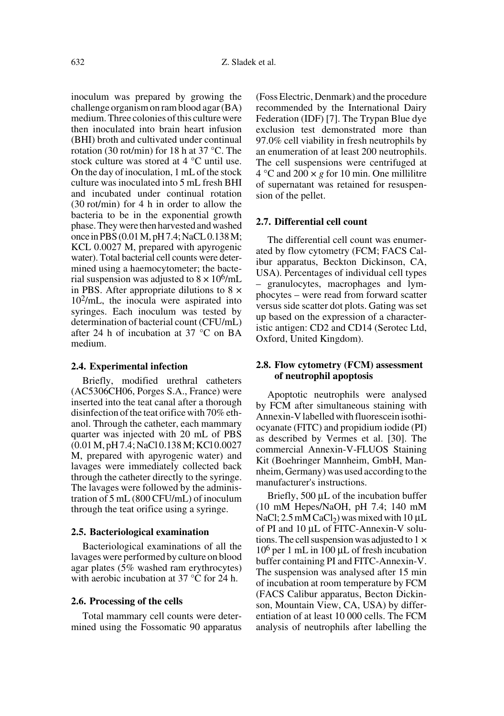inoculum was prepared by growing the challenge organism on ram blood agar (BA) medium. Three colonies of this culture were then inoculated into brain heart infusion (BHI) broth and cultivated under continual rotation (30 rot/min) for 18 h at 37 °C. The stock culture was stored at 4 °C until use. On the day of inoculation, 1 mL of the stock culture was inoculated into 5 mL fresh BHI and incubated under continual rotation (30 rot/min) for 4 h in order to allow the bacteria to be in the exponential growth phase. They were then harvested and washed once in PBS (0.01 M, pH 7.4; NaCL 0.138 M; KCL 0.0027 M, prepared with apyrogenic water). Total bacterial cell counts were determined using a haemocytometer; the bacterial suspension was adjusted to  $8 \times 10^{6}$ /mL in PBS. After appropriate dilutions to  $8 \times$ 102/mL, the inocula were aspirated into syringes. Each inoculum was tested by determination of bacterial count (CFU/mL) after 24 h of incubation at 37 °C on BA medium.

#### **2.4. Experimental infection**

Briefly, modified urethral catheters (AC5306CH06, Porges S.A., France) were inserted into the teat canal after a thorough disinfection of the teat orifice with 70% ethanol. Through the catheter, each mammary quarter was injected with 20 mL of PBS (0.01 M, pH 7.4; NaCl 0.138 M; KCl 0.0027 M, prepared with apyrogenic water) and lavages were immediately collected back through the catheter directly to the syringe. The lavages were followed by the administration of 5 mL (800 CFU/mL) of inoculum through the teat orifice using a syringe.

### **2.5. Bacteriological examination**

Bacteriological examinations of all the lavages were performed by culture on blood agar plates (5% washed ram erythrocytes) with aerobic incubation at 37 °C for 24 h.

## **2.6. Processing of the cells**

Total mammary cell counts were determined using the Fossomatic 90 apparatus (Foss Electric, Denmark) and the procedure recommended by the International Dairy Federation (IDF) [7]. The Trypan Blue dye exclusion test demonstrated more than 97.0% cell viability in fresh neutrophils by an enumeration of at least 200 neutrophils. The cell suspensions were centrifuged at  $4^{\circ}$ C and  $200 \times g$  for 10 min. One millilitre of supernatant was retained for resuspension of the pellet.

### **2.7. Differential cell count**

The differential cell count was enumerated by flow cytometry (FCM; FACS Calibur apparatus, Beckton Dickinson, CA, USA). Percentages of individual cell types – granulocytes, macrophages and lymphocytes – were read from forward scatter versus side scatter dot plots. Gating was set up based on the expression of a characteristic antigen: CD2 and CD14 (Serotec Ltd, Oxford, United Kingdom).

## **2.8. Flow cytometry (FCM) assessment of neutrophil apoptosis**

Apoptotic neutrophils were analysed by FCM after simultaneous staining with Annexin-V labelled with fluorescein isothiocyanate (FITC) and propidium iodide (PI) as described by Vermes et al. [30]. The commercial Annexin-V-FLUOS Staining Kit (Boehringer Mannheim, GmbH, Mannheim, Germany) was used according to the manufacturer's instructions.

Briefly, 500 µL of the incubation buffer (10 mM Hepes/NaOH, pH 7.4; 140 mM NaCl; 2.5 mM CaCl<sub>2</sub>) was mixed with 10  $\mu$ L of PI and 10 µL of FITC-Annexin-V solutions. The cell suspension was adjusted to  $1 \times$ 106 per 1 mL in 100 µL of fresh incubation buffer containing PI and FITC-Annexin-V. The suspension was analysed after 15 min of incubation at room temperature by FCM (FACS Calibur apparatus, Becton Dickinson, Mountain View, CA, USA) by differentiation of at least 10 000 cells. The FCM analysis of neutrophils after labelling the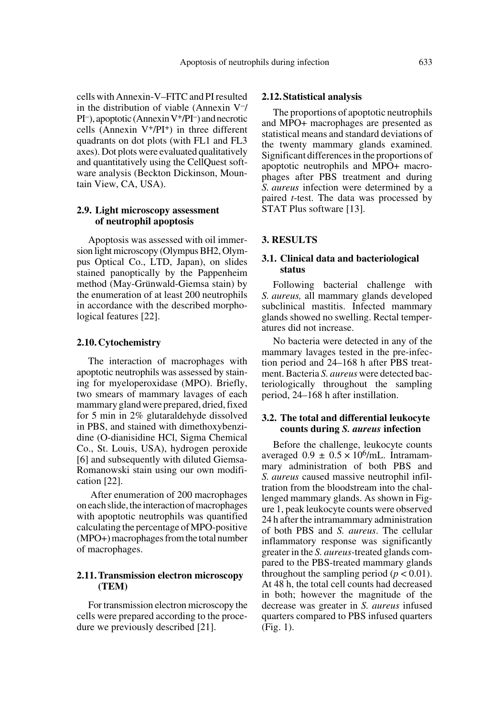cells with Annexin-V–FITC and PI resulted in the distribution of viable (Annexin  $V<sub>-/-</sub>$ PI–), apoptotic (Annexin V+/PI–) and necrotic cells (Annexin  $V^+/PI^+$ ) in three different quadrants on dot plots (with FL1 and FL3 axes). Dot plots were evaluated qualitatively and quantitatively using the CellQuest software analysis (Beckton Dickinson, Mountain View, CA, USA).

## **2.9. Light microscopy assessment of neutrophil apoptosis**

Apoptosis was assessed with oil immersion light microscopy (Olympus BH2, Olympus Optical Co., LTD, Japan), on slides stained panoptically by the Pappenheim method (May-Grünwald-Giemsa stain) by the enumeration of at least 200 neutrophils in accordance with the described morphological features [22].

#### **2.10. Cytochemistry**

The interaction of macrophages with apoptotic neutrophils was assessed by staining for myeloperoxidase (MPO). Briefly, two smears of mammary lavages of each mammary gland were prepared, dried, fixed for 5 min in 2% glutaraldehyde dissolved in PBS, and stained with dimethoxybenzidine (O-dianisidine HCl, Sigma Chemical Co., St. Louis, USA), hydrogen peroxide [6] and subsequently with diluted Giemsa-Romanowski stain using our own modification [22].

 After enumeration of 200 macrophages on each slide, the interaction of macrophages with apoptotic neutrophils was quantified calculating the percentage of MPO-positive (MPO+) macrophages from the total number of macrophages.

## **2.11. Transmission electron microscopy (TEM)**

For transmission electron microscopy the cells were prepared according to the procedure we previously described [21].

#### **2.12. Statistical analysis**

The proportions of apoptotic neutrophils and MPO+ macrophages are presented as statistical means and standard deviations of the twenty mammary glands examined. Significant differences in the proportions of apoptotic neutrophils and MPO+ macrophages after PBS treatment and during *S. aureus* infection were determined by a paired *t*-test. The data was processed by STAT Plus software [13].

#### **3. RESULTS**

## **3.1. Clinical data and bacteriological status**

Following bacterial challenge with *S. aureus,* all mammary glands developed subclinical mastitis. Infected mammary glands showed no swelling. Rectal temperatures did not increase.

No bacteria were detected in any of the mammary lavages tested in the pre-infection period and 24–168 h after PBS treatment. Bacteria *S. aureus* were detected bacteriologically throughout the sampling period, 24–168 h after instillation.

#### **3.2. The total and differential leukocyte counts during** *S. aureus* **infection**

Before the challenge, leukocyte counts averaged  $0.9 \pm 0.5 \times 10^6$ /mL. Intramammary administration of both PBS and *S. aureus* caused massive neutrophil infiltration from the bloodstream into the challenged mammary glands. As shown in Figure 1, peak leukocyte counts were observed 24 h after the intramammary administration of both PBS and *S. aureus*. The cellular inflammatory response was significantly greater in the *S. aureus-*treated glands compared to the PBS-treated mammary glands throughout the sampling period  $(p < 0.01)$ . At 48 h, the total cell counts had decreased in both; however the magnitude of the decrease was greater in *S. aureus* infused quarters compared to PBS infused quarters (Fig. 1).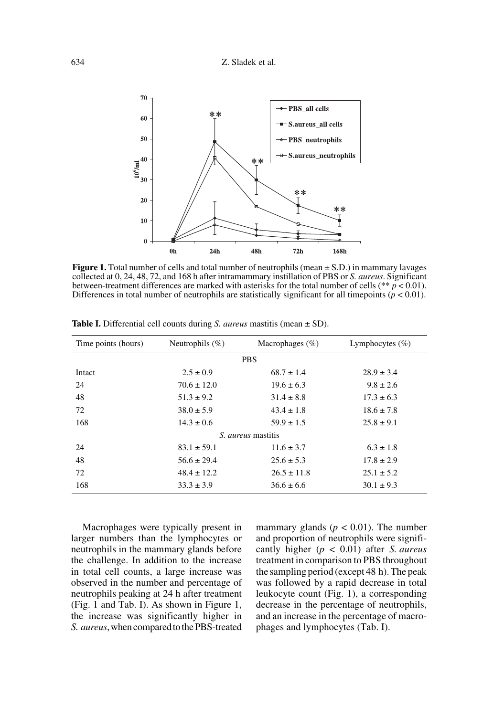

**Figure 1.** Total number of cells and total number of neutrophils (mean  $\pm$  S.D.) in mammary lavages collected at 0, 24, 48, 72, and 168 h after intramammary instillation of PBS or *S. aureus*. Significant between-treatment differences are marked with asterisks for the total number of cells ( $** p < 0.01$ ). Differences in total number of neutrophils are statistically significant for all timepoints  $(p < 0.01)$ .

| Time points (hours)       | Neutrophils $(\%)$ | Macrophages $(\%)$ | Lymphocytes $(\%)$ |
|---------------------------|--------------------|--------------------|--------------------|
| <b>PBS</b>                |                    |                    |                    |
| Intact                    | $2.5 \pm 0.9$      | $68.7 \pm 1.4$     | $28.9 \pm 3.4$     |
| 24                        | $70.6 \pm 12.0$    | $19.6 \pm 6.3$     | $9.8 \pm 2.6$      |
| 48                        | $51.3 \pm 9.2$     | $31.4 \pm 8.8$     | $17.3 \pm 6.3$     |
| 72                        | $38.0 \pm 5.9$     | $43.4 \pm 1.8$     | $18.6 \pm 7.8$     |
| 168                       | $14.3 \pm 0.6$     | $59.9 \pm 1.5$     | $25.8 \pm 9.1$     |
| <i>S. aureus</i> mastitis |                    |                    |                    |
| 24                        | $83.1 \pm 59.1$    | $11.6 \pm 3.7$     | $6.3 \pm 1.8$      |
| 48                        | $56.6 \pm 29.4$    | $25.6 \pm 5.3$     | $17.8 \pm 2.9$     |
| 72                        | $48.4 \pm 12.2$    | $26.5 \pm 11.8$    | $25.1 \pm 5.2$     |
| 168                       | $33.3 \pm 3.9$     | $36.6 \pm 6.6$     | $30.1 \pm 9.3$     |

**Table I.** Differential cell counts during *S. aureus* mastitis (mean ± SD).

Macrophages were typically present in larger numbers than the lymphocytes or neutrophils in the mammary glands before the challenge. In addition to the increase in total cell counts, a large increase was observed in the number and percentage of neutrophils peaking at 24 h after treatment (Fig. 1 and Tab. I). As shown in Figure 1, the increase was significantly higher in *S. aureus*, when compared to the PBS-treated mammary glands ( $p < 0.01$ ). The number and proportion of neutrophils were significantly higher (*p* < 0.01) after *S. aureus* treatment in comparison to PBS throughout the sampling period (except 48 h). The peak was followed by a rapid decrease in total leukocyte count (Fig. 1), a corresponding decrease in the percentage of neutrophils, and an increase in the percentage of macrophages and lymphocytes (Tab. I).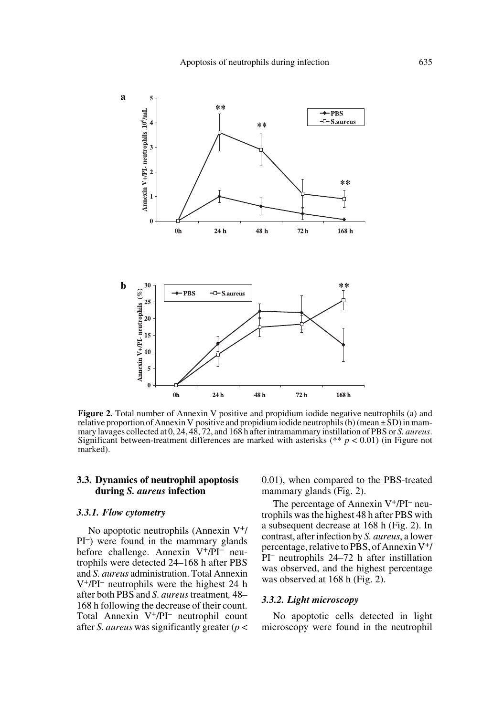

**Figure 2.** Total number of Annexin V positive and propidium iodide negative neutrophils (a) and relative proportion of Annexin V positive and propidium iodide neutrophils (b) (mean  $\pm$  SD) in mammary lavages collected at 0, 24, 48, 72, and 168 h after intramammary instillation of PBS or *S. aureus*. Significant between-treatment differences are marked with asterisks (\*\* *p* < 0.01) (in Figure not marked).

## **3.3. Dynamics of neutrophil apoptosis during** *S. aureus* **infection**

#### *3.3.1. Flow cytometry*

No apoptotic neutrophils (Annexin V+/ PI–) were found in the mammary glands before challenge. Annexin V+/PI– neutrophils were detected 24–168 h after PBS and *S. aureus* administration. Total Annexin V+/PI– neutrophils were the highest 24 h after both PBS and *S. aureus* treatment*,* 48– 168 h following the decrease of their count. Total Annexin V+/PI– neutrophil count after *S. aureus* was significantly greater (*p* < 0.01), when compared to the PBS-treated mammary glands (Fig. 2).

The percentage of Annexin V+/PI– neutrophils was the highest 48 h after PBS with a subsequent decrease at 168 h (Fig. 2). In contrast, after infection by *S. aureus*, a lower percentage, relative to PBS, of Annexin V+/ PI– neutrophils 24–72 h after instillation was observed, and the highest percentage was observed at 168 h (Fig. 2).

#### *3.3.2. Light microscopy*

No apoptotic cells detected in light microscopy were found in the neutrophil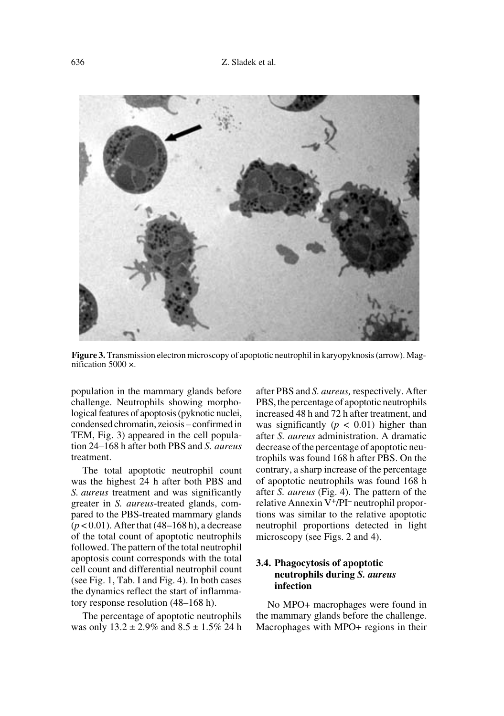

**Figure 3.** Transmission electron microscopy of apoptotic neutrophil in karyopyknosis (arrow). Magnification 5000 ×.

population in the mammary glands before challenge. Neutrophils showing morphological features of apoptosis (pyknotic nuclei, condensed chromatin, zeiosis – confirmed in TEM, Fig. 3) appeared in the cell population 24–168 h after both PBS and *S. aureus* treatment.

The total apoptotic neutrophil count was the highest 24 h after both PBS and *S. aureus* treatment and was significantly greater in *S. aureus*-treated glands, compared to the PBS-treated mammary glands (*p* < 0.01). After that (48–168 h), a decrease of the total count of apoptotic neutrophils followed. The pattern of the total neutrophil apoptosis count corresponds with the total cell count and differential neutrophil count (see Fig. 1, Tab. I and Fig. 4). In both cases the dynamics reflect the start of inflammatory response resolution (48–168 h).

The percentage of apoptotic neutrophils was only  $13.2 \pm 2.9\%$  and  $8.5 \pm 1.5\%$  24 h after PBS and *S. aureus,* respectively. After PBS, the percentage of apoptotic neutrophils increased 48 h and 72 h after treatment, and was significantly  $(p < 0.01)$  higher than after *S. aureus* administration. A dramatic decrease of the percentage of apoptotic neutrophils was found 168 h after PBS. On the contrary, a sharp increase of the percentage of apoptotic neutrophils was found 168 h after *S. aureus* (Fig. 4). The pattern of the relative Annexin V+/PI– neutrophil proportions was similar to the relative apoptotic neutrophil proportions detected in light microscopy (see Figs. 2 and 4).

## **3.4. Phagocytosis of apoptotic neutrophils during** *S. aureus* **infection**

No MPO+ macrophages were found in the mammary glands before the challenge. Macrophages with MPO+ regions in their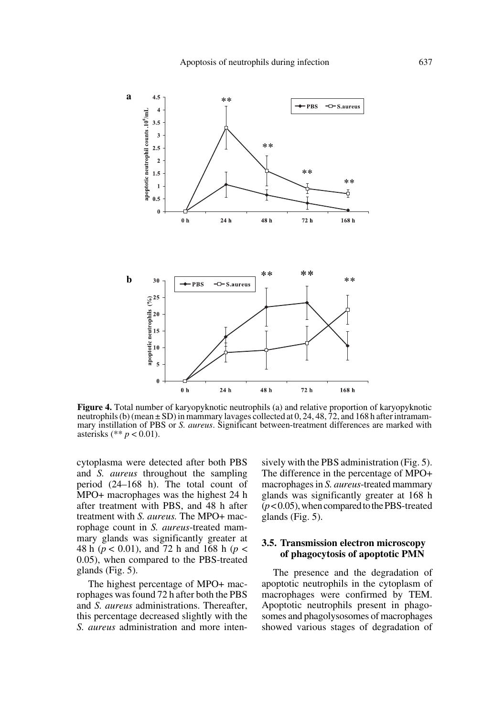

**Figure 4.** Total number of karyopyknotic neutrophils (a) and relative proportion of karyopyknotic neutrophils (b) (mean  $\pm$  SD) in mammary lavages collected at 0, 24, 48, 72, and 168 h after intramammary instillation of PBS or *S. aureus*. Significant between-treatment differences are marked with asterisks (\*\* *p* < 0.01).

cytoplasma were detected after both PBS and *S. aureus* throughout the sampling period (24–168 h). The total count of MPO+ macrophages was the highest 24 h after treatment with PBS, and 48 h after treatment with *S. aureus.* The MPO+ macrophage count in *S. aureus*-treated mammary glands was significantly greater at 48 h (*p* < 0.01), and 72 h and 168 h (*p* < 0.05), when compared to the PBS-treated glands (Fig. 5).

The highest percentage of MPO+ macrophages was found 72 h after both the PBS and *S. aureus* administrations. Thereafter, this percentage decreased slightly with the *S. aureus* administration and more intensively with the PBS administration (Fig. 5). The difference in the percentage of MPO+ macrophages in *S. aureus*-treated mammary glands was significantly greater at 168 h (*p* < 0.05), when compared to the PBS-treated glands (Fig. 5).

## **3.5. Transmission electron microscopy of phagocytosis of apoptotic PMN**

The presence and the degradation of apoptotic neutrophils in the cytoplasm of macrophages were confirmed by TEM. Apoptotic neutrophils present in phagosomes and phagolysosomes of macrophages showed various stages of degradation of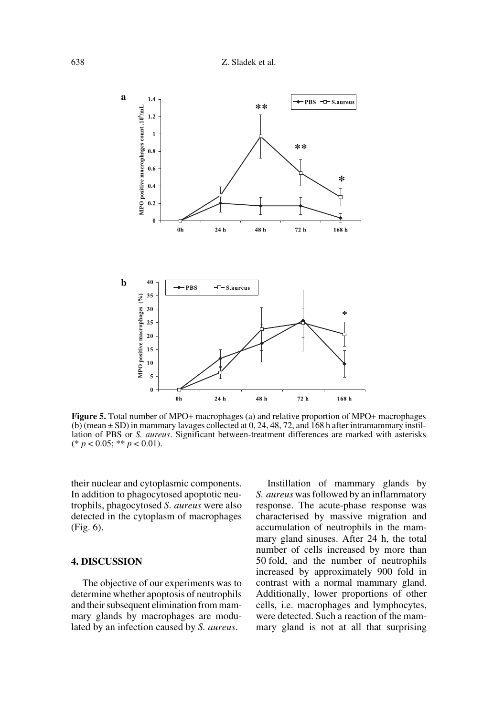

**Figure 5.** Total number of MPO+ macrophages (a) and relative proportion of MPO+ macrophages (b) (mean  $\pm$  SD) in mammary lavages collected at 0, 24, 48, 72, and 168 h after intramammary instillation of PBS or *S. aureus*. Significant between-treatment differences are marked with asterisks (\* *p* < 0.05; \*\* *p* < 0.01).

their nuclear and cytoplasmic components. In addition to phagocytosed apoptotic neutrophils, phagocytosed *S. aureus* were also detected in the cytoplasm of macrophages (Fig. 6).

## **4. DISCUSSION**

The objective of our experiments was to determine whether apoptosis of neutrophils and their subsequent elimination from mammary glands by macrophages are modulated by an infection caused by *S. aureus*.

Instillation of mammary glands by *S. aureus* was followed by an inflammatory response. The acute-phase response was characterised by massive migration and accumulation of neutrophils in the mammary gland sinuses. After 24 h, the total number of cells increased by more than 50 fold, and the number of neutrophils increased by approximately 900 fold in contrast with a normal mammary gland. Additionally, lower proportions of other cells, i.e. macrophages and lymphocytes, were detected. Such a reaction of the mammary gland is not at all that surprising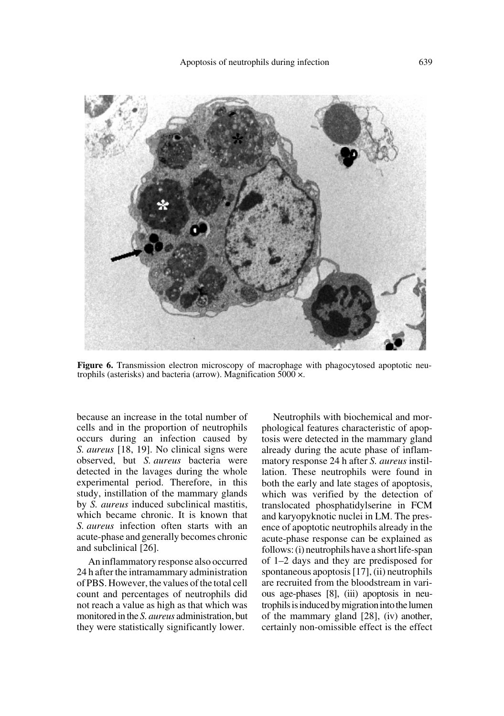

**Figure 6.** Transmission electron microscopy of macrophage with phagocytosed apoptotic neutrophils (asterisks) and bacteria (arrow). Magnification 5000 ×.

because an increase in the total number of cells and in the proportion of neutrophils occurs during an infection caused by *S. aureus* [18, 19]. No clinical signs were observed, but *S. aureus* bacteria were detected in the lavages during the whole experimental period. Therefore, in this study, instillation of the mammary glands by *S. aureus* induced subclinical mastitis, which became chronic. It is known that *S. aureus* infection often starts with an acute-phase and generally becomes chronic and subclinical [26].

An inflammatory response also occurred 24 h after the intramammary administration of PBS. However, the values of the total cell count and percentages of neutrophils did not reach a value as high as that which was monitored in the *S. aureus* administration, but they were statistically significantly lower.

Neutrophils with biochemical and morphological features characteristic of apoptosis were detected in the mammary gland already during the acute phase of inflammatory response 24 h after *S. aureus* instillation. These neutrophils were found in both the early and late stages of apoptosis, which was verified by the detection of translocated phosphatidylserine in FCM and karyopyknotic nuclei in LM. The presence of apoptotic neutrophils already in the acute-phase response can be explained as follows: (i) neutrophils have a short life-span of 1–2 days and they are predisposed for spontaneous apoptosis [17], (ii) neutrophils are recruited from the bloodstream in various age-phases [8], (iii) apoptosis in neutrophils is induced by migration into the lumen of the mammary gland [28], (iv) another, certainly non-omissible effect is the effect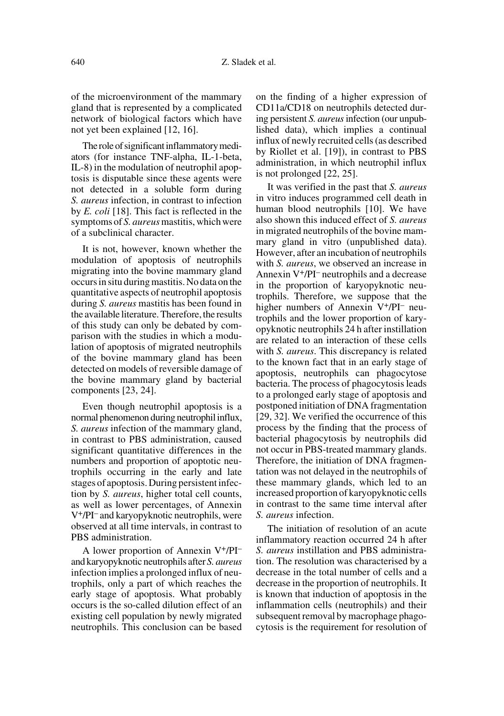of the microenvironment of the mammary gland that is represented by a complicated network of biological factors which have not yet been explained [12, 16].

The role of significant inflammatory mediators (for instance TNF-alpha, IL-1-beta, IL-8) in the modulation of neutrophil apoptosis is disputable since these agents were not detected in a soluble form during *S. aureus* infection, in contrast to infection by *E. coli* [18]. This fact is reflected in the symptoms of *S. aureus* mastitis, which were of a subclinical character.

It is not, however, known whether the modulation of apoptosis of neutrophils migrating into the bovine mammary gland occurs in situ during mastitis. No data on the quantitative aspects of neutrophil apoptosis during *S. aureus* mastitis has been found in the available literature. Therefore, the results of this study can only be debated by comparison with the studies in which a modulation of apoptosis of migrated neutrophils of the bovine mammary gland has been detected on models of reversible damage of the bovine mammary gland by bacterial components [23, 24].

Even though neutrophil apoptosis is a normal phenomenon during neutrophil influx, *S. aureus* infection of the mammary gland, in contrast to PBS administration, caused significant quantitative differences in the numbers and proportion of apoptotic neutrophils occurring in the early and late stages of apoptosis. During persistent infection by *S. aureus*, higher total cell counts, as well as lower percentages, of Annexin V+/PI– and karyopyknotic neutrophils, were observed at all time intervals, in contrast to PBS administration.

A lower proportion of Annexin V+/PI– and karyopyknotic neutrophils after *S. aureus* infection implies a prolonged influx of neutrophils, only a part of which reaches the early stage of apoptosis. What probably occurs is the so-called dilution effect of an existing cell population by newly migrated neutrophils. This conclusion can be based on the finding of a higher expression of CD11a/CD18 on neutrophils detected during persistent *S. aureus* infection (our unpublished data), which implies a continual influx of newly recruited cells (as described by Riollet et al. [19]), in contrast to PBS administration, in which neutrophil influx is not prolonged [22, 25].

It was verified in the past that *S. aureus* in vitro induces programmed cell death in human blood neutrophils [10]. We have also shown this induced effect of *S. aureus* in migrated neutrophils of the bovine mammary gland in vitro (unpublished data). However, after an incubation of neutrophils with *S. aureus*, we observed an increase in Annexin V+/PI– neutrophils and a decrease in the proportion of karyopyknotic neutrophils. Therefore, we suppose that the higher numbers of Annexin V<sup>+</sup>/PI<sup>-</sup> neutrophils and the lower proportion of karyopyknotic neutrophils 24 h after instillation are related to an interaction of these cells with *S. aureus*. This discrepancy is related to the known fact that in an early stage of apoptosis, neutrophils can phagocytose bacteria. The process of phagocytosis leads to a prolonged early stage of apoptosis and postponed initiation of DNA fragmentation [29, 32]. We verified the occurrence of this process by the finding that the process of bacterial phagocytosis by neutrophils did not occur in PBS-treated mammary glands. Therefore, the initiation of DNA fragmentation was not delayed in the neutrophils of these mammary glands, which led to an increased proportion of karyopyknotic cells in contrast to the same time interval after *S. aureus* infection.

The initiation of resolution of an acute inflammatory reaction occurred 24 h after *S. aureus* instillation and PBS administration. The resolution was characterised by a decrease in the total number of cells and a decrease in the proportion of neutrophils. It is known that induction of apoptosis in the inflammation cells (neutrophils) and their subsequent removal by macrophage phagocytosis is the requirement for resolution of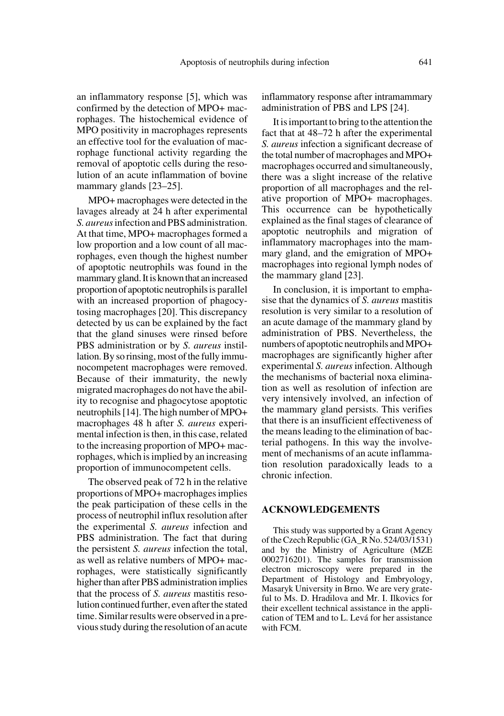an inflammatory response [5], which was confirmed by the detection of MPO+ macrophages. The histochemical evidence of MPO positivity in macrophages represents an effective tool for the evaluation of macrophage functional activity regarding the removal of apoptotic cells during the resolution of an acute inflammation of bovine mammary glands [23–25].

MPO+ macrophages were detected in the lavages already at 24 h after experimental *S. aureus* infection and PBS administration. At that time, MPO+ macrophages formed a low proportion and a low count of all macrophages, even though the highest number of apoptotic neutrophils was found in the mammary gland. It is known that an increased proportion of apoptotic neutrophils is parallel with an increased proportion of phagocytosing macrophages [20]. This discrepancy detected by us can be explained by the fact that the gland sinuses were rinsed before PBS administration or by *S. aureus* instillation. By so rinsing, most of the fully immunocompetent macrophages were removed. Because of their immaturity, the newly migrated macrophages do not have the ability to recognise and phagocytose apoptotic neutrophils [14]. The high number of MPO+ macrophages 48 h after *S. aureus* experimental infection is then, in this case, related to the increasing proportion of MPO+ macrophages, which is implied by an increasing proportion of immunocompetent cells.

The observed peak of 72 h in the relative proportions of MPO+ macrophages implies the peak participation of these cells in the process of neutrophil influx resolution after the experimental *S. aureus* infection and PBS administration. The fact that during the persistent *S. aureus* infection the total, as well as relative numbers of MPO+ macrophages, were statistically significantly higher than after PBS administration implies that the process of *S. aureus* mastitis resolution continued further, even after the stated time. Similar results were observed in a previous study during the resolution of an acute inflammatory response after intramammary administration of PBS and LPS [24].

It is important to bring to the attention the fact that at 48–72 h after the experimental *S. aureus* infection a significant decrease of the total number of macrophages and MPO+ macrophages occurred and simultaneously, there was a slight increase of the relative proportion of all macrophages and the relative proportion of MPO+ macrophages. This occurrence can be hypothetically explained as the final stages of clearance of apoptotic neutrophils and migration of inflammatory macrophages into the mammary gland, and the emigration of MPO+ macrophages into regional lymph nodes of the mammary gland [23].

In conclusion, it is important to emphasise that the dynamics of *S. aureus* mastitis resolution is very similar to a resolution of an acute damage of the mammary gland by administration of PBS. Nevertheless, the numbers of apoptotic neutrophils and MPO+ macrophages are significantly higher after experimental *S. aureus* infection. Although the mechanisms of bacterial noxa elimination as well as resolution of infection are very intensively involved, an infection of the mammary gland persists. This verifies that there is an insufficient effectiveness of the means leading to the elimination of bacterial pathogens. In this way the involvement of mechanisms of an acute inflammation resolution paradoxically leads to a chronic infection.

#### **ACKNOWLEDGEMENTS**

This study was supported by a Grant Agency of the Czech Republic (GA\_R No. 524/03/1531) and by the Ministry of Agriculture (MZE 0002716201). The samples for transmission electron microscopy were prepared in the Department of Histology and Embryology, Masaryk University in Brno. We are very grateful to Ms. D. Hradilova and Mr. I. Ilkovics for their excellent technical assistance in the application of TEM and to L. Levá for her assistance with FCM.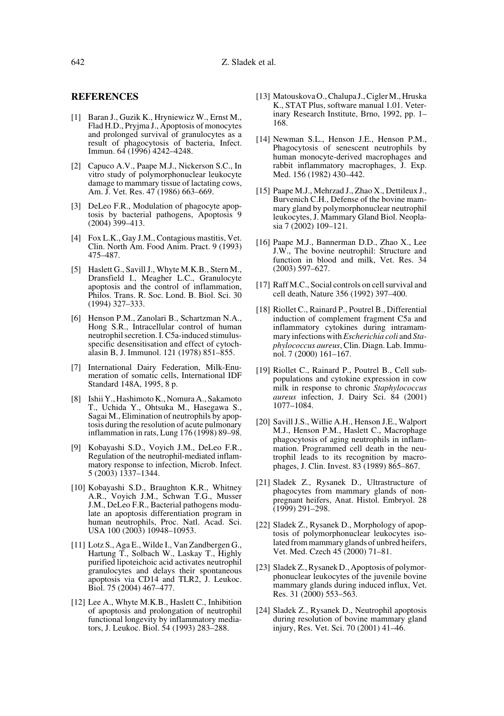#### **REFERENCES**

- [1] Baran J., Guzik K., Hryniewicz W., Ernst M., Flad H.D., Pryjma J., Apoptosis of monocytes and prolonged survival of granulocytes as a result of phagocytosis of bacteria, Infect. Immun. 64 (1996) 4242–4248.
- [2] Capuco A.V., Paape M.J., Nickerson S.C., In vitro study of polymorphonuclear leukocyte damage to mammary tissue of lactating cows, Am. J. Vet. Res. 47 (1986) 663–669.
- [3] DeLeo F.R., Modulation of phagocyte apoptosis by bacterial pathogens, Apoptosis 9 (2004) 399–413.
- [4] Fox L.K., Gay J.M., Contagious mastitis, Vet. Clin. North Am. Food Anim. Pract. 9 (1993) 475–487.
- [5] Haslett G., Savill J., Whyte M.K.B., Stern M., Dransfield I., Meagher L.C., Granulocyte apoptosis and the control of inflammation, Philos. Trans. R. Soc. Lond. B. Biol. Sci. 30 (1994) 327–333.
- [6] Henson P.M., Zanolari B., Schartzman N.A., Hong S.R., Intracellular control of human neutrophil secretion. I. C5a-induced stimulusspecific desensitisation and effect of cytochalasin B, J. Immunol. 121 (1978) 851–855.
- [7] International Dairy Federation, Milk-Enumeration of somatic cells, International IDF Standard 148A, 1995, 8 p.
- [8] Ishii Y., Hashimoto K., Nomura A., Sakamoto T., Uchida Y., Ohtsuka M., Hasegawa S., Sagai M., Elimination of neutrophils by apoptosis during the resolution of acute pulmonary inflammation in rats, Lung 176 (1998) 89–98.
- [9] Kobayashi S.D., Voyich J.M., DeLeo F.R., Regulation of the neutrophil-mediated inflammatory response to infection, Microb. Infect. 5 (2003) 1337–1344.
- [10] Kobayashi S.D., Braughton K.R., Whitney A.R., Voyich J.M., Schwan T.G., Musser J.M., DeLeo F.R., Bacterial pathogens modulate an apoptosis differentiation program in human neutrophils, Proc. Natl. Acad. Sci. USA 100 (2003) 10948–10953.
- [11] Lotz S., Aga E., Wilde I., Van Zandbergen G., Hartung T., Solbach W., Laskay T., Highly purified lipoteichoic acid activates neutrophil granulocytes and delays their spontaneous apoptosis via CD14 and TLR2, J. Leukoc. Biol. 75 (2004) 467–477.
- [12] Lee A., Whyte M.K.B., Haslett C., Inhibition of apoptosis and prolongation of neutrophil functional longevity by inflammatory mediators, J. Leukoc. Biol. 54 (1993) 283–288.
- [13] Matouskova O., Chalupa J., Cigler M., Hruska K., STAT Plus, software manual 1.01. Veterinary Research Institute, Brno, 1992, pp. 1– 168.
- [14] Newman S.L., Henson J.E., Henson P.M., Phagocytosis of senescent neutrophils by human monocyte-derived macrophages and rabbit inflammatory macrophages, J. Exp. Med. 156 (1982) 430–442.
- [15] Paape M.J., Mehrzad J., Zhao X., Dettileux J., Burvenich C.H., Defense of the bovine mammary gland by polymorphonuclear neutrophil leukocytes, J. Mammary Gland Biol. Neoplasia 7 (2002) 109–121.
- [16] Paape M.J., Bannerman D.D., Zhao X., Lee J.W., The bovine neutrophil: Structure and function in blood and milk, Vet. Res. 34 (2003) 597–627.
- [17] Raff M.C., Social controls on cell survival and cell death, Nature 356 (1992) 397–400.
- [18] Riollet C., Rainard P., Poutrel B., Differential induction of complement fragment C5a and inflammatory cytokines during intramammary infections with *Escherichia coli* and *Staphylococcus aureus*, Clin. Diagn. Lab. Immunol. 7 (2000) 161–167.
- [19] Riollet C., Rainard P., Poutrel B., Cell subpopulations and cytokine expression in cow milk in response to chronic *Staphylococcus aureus* infection, J. Dairy Sci. 84 (2001) 1077–1084.
- [20] Savill J.S., Willie A.H., Henson J.E., Walport M.J., Henson P.M., Haslett C., Macrophage phagocytosis of aging neutrophils in inflammation. Programmed cell death in the neutrophil leads to its recognition by macrophages, J. Clin. Invest. 83 (1989) 865–867.
- [21] Sladek Z., Rysanek D., Ultrastructure of phagocytes from mammary glands of nonpregnant heifers, Anat. Histol. Embryol. 28  $(1999)$  291–298.
- [22] Sladek Z., Rysanek D., Morphology of apoptosis of polymorphonuclear leukocytes isolated from mammary glands of unbred heifers, Vet. Med. Czech 45 (2000) 71–81.
- [23] Sladek Z., Rysanek D., Apoptosis of polymorphonuclear leukocytes of the juvenile bovine mammary glands during induced influx, Vet. Res. 31 (2000) 553–563.
- [24] Sladek Z., Rysanek D., Neutrophil apoptosis during resolution of bovine mammary gland injury, Res. Vet. Sci. 70 (2001) 41–46.